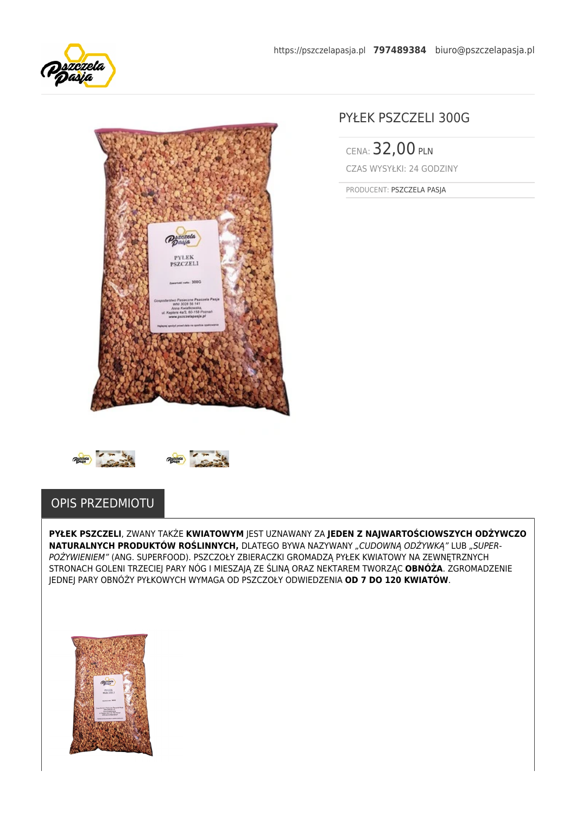



# PYŁEK PSZCZELI 300G

CENA: 32,00 PLN CZAS WYSYŁKI: 24 GODZINY

PRODUCENT: PSZCZELA PASJA



**PYŁEK PSZCZELI**, ZWANY TAKŻE **KWIATOWYM** JEST UZNAWANY ZA **JEDEN Z NAJWARTOŚCIOWSZYCH ODŻYWCZO NATURALNYCH PRODUKTÓW ROŚLINNYCH, DLATEGO BYWA NAZYWANY "CUDOWNĄ ODŻYWKĄ" LUB "SUPER-**POŻYWIENIEM" (ANG. SUPERFOOD). PSZCZOŁY ZBIERACZKI GROMADZĄ PYŁEK KWIATOWY NA ZEWNETRZNYCH STRONACH GOLENI TRZECIEJ PARY NÓG I MIESZAJĄ ZE ŚLINĄ ORAZ NEKTAREM TWORZĄC **OBNÓŻA**. ZGROMADZENIE JEDNEJ PARY OBNÓŻY PYŁKOWYCH WYMAGA OD PSZCZOŁY ODWIEDZENIA **OD 7 DO 120 KWIATÓW**.

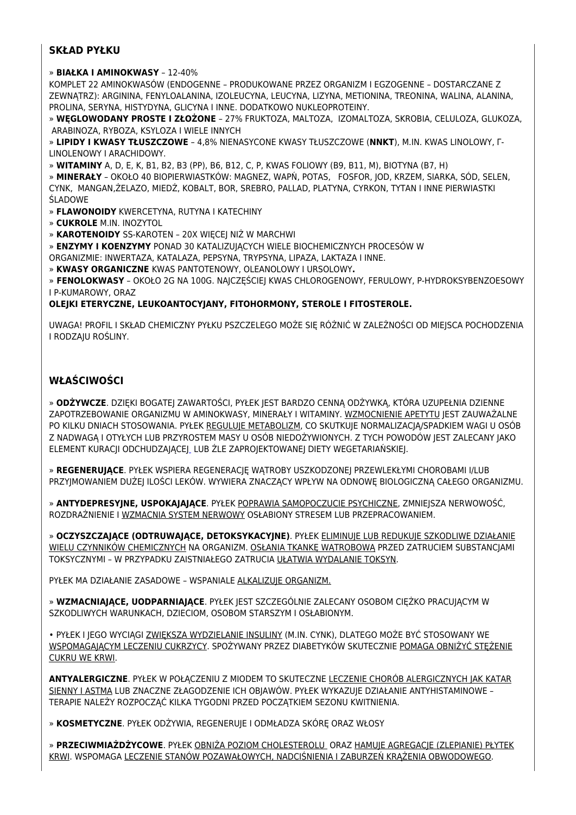## **SKŁAD PYŁKU**

#### » **BIAŁKA I AMINOKWASY** – 12-40%

KOMPLET 22 AMINOKWASÓW (ENDOGENNE – PRODUKOWANE PRZEZ ORGANIZM I EGZOGENNE – DOSTARCZANE Z ZEWNĄTRZ): ARGININA, FENYLOALANINA, IZOLEUCYNA, LEUCYNA, LIZYNA, METIONINA, TREONINA, WALINA, ALANINA, PROLINA, SERYNA, HISTYDYNA, GLICYNA I INNE. DODATKOWO NUKLEOPROTEINY.

» **WĘGLOWODANY PROSTE I ZŁOŻONE** – 27% FRUKTOZA, MALTOZA, IZOMALTOZA, SKROBIA, CELULOZA, GLUKOZA, ARABINOZA, RYBOZA, KSYLOZA I WIELE INNYCH

» **LIPIDY I KWASY TŁUSZCZOWE** – 4,8% NIENASYCONE KWASY TŁUSZCZOWE (**NNKT**), M.IN. KWAS LINOLOWY, Γ-LINOLENOWY I ARACHIDOWY.

» **WITAMINY** A, D, E, K, B1, B2, B3 (PP), B6, B12, C, P, KWAS FOLIOWY (B9, B11, M), BIOTYNA (B7, H)

» **MINERAŁY** – OKOŁO 40 BIOPIERWIASTKÓW: MAGNEZ, WAPŃ, POTAS, FOSFOR, JOD, KRZEM, SIARKA, SÓD, SELEN, CYNK, MANGAN,ŻELAZO, MIEDŹ, KOBALT, BOR, SREBRO, PALLAD, PLATYNA, CYRKON, TYTAN I INNE PIERWIASTKI ŚLADOWE

» **FLAWONOIDY** KWERCETYNA, RUTYNA I KATECHINY

» **CUKROLE** M.IN. INOZYTOL

» **KAROTENOIDY** SS-KAROTEN – 20X WIĘCEJ NIŻ W MARCHWI

» **ENZYMY I KOENZYMY** PONAD 30 KATALIZUJĄCYCH WIELE BIOCHEMICZNYCH PROCESÓW W

ORGANIZMIE: INWERTAZA, KATALAZA, PEPSYNA, TRYPSYNA, LIPAZA, LAKTAZA I INNE.

» **KWASY ORGANICZNE** KWAS PANTOTENOWY, OLEANOLOWY I URSOLOWY**.**

» **FENOLOKWASY** – OKOŁO 2G NA 100G. NAJCZĘŚCIEJ KWAS CHLOROGENOWY, FERULOWY, P-HYDROKSYBENZOESOWY I P-KUMAROWY, ORAZ

#### **OLEJKI ETERYCZNE, LEUKOANTOCYJANY, FITOHORMONY, STEROLE I FITOSTEROLE.**

UWAGA! PROFIL I SKŁAD CHEMICZNY PYŁKU PSZCZELEGO MOŻE SIĘ RÓŻNIĆ W ZALEŻNOŚCI OD MIEJSCA POCHODZENIA I RODZAJU ROŚLINY.

# **WŁAŚCIWOŚCI**

» **ODŻYWCZE**. DZIĘKI BOGATEJ ZAWARTOŚCI, PYŁEK JEST BARDZO CENNĄ ODŻYWKĄ, KTÓRA UZUPEŁNIA DZIENNE ZAPOTRZEBOWANIE ORGANIZMU W AMINOKWASY, MINERAŁY I WITAMINY. WZMOCNIENIE APETYTU JEST ZAUWAŻALNE PO KILKU DNIACH STOSOWANIA. PYŁEK REGULUJE METABOLIZM, CO SKUTKUJE NORMALIZACJĄ/SPADKIEM WAGI U OSÓB Z NADWAGĄ I OTYŁYCH LUB PRZYROSTEM MASY U OSÓB NIEDOŻYWIONYCH. Z TYCH POWODÓW JEST ZALECANY JAKO ELEMENT KURACJI ODCHUDZAJĄCE[J](http://leczeniepro.pl/tag/odchudzanie/) LUB ŹLE ZAPROJEKTOWANEJ DIETY WEGETARIAŃSKIEJ.

» **REGENERUJĄCE**. PYŁEK WSPIERA REGENERACJĘ WĄTROBY USZKODZONEJ PRZEWLEKŁYMI CHOROBAMI I/LUB PRZYJMOWANIEM DUŻEJ ILOŚCI LEKÓW. WYWIERA ZNACZĄCY WPŁYW NA ODNOWĘ BIOLOGICZNĄ CAŁEGO ORGANIZMU.

» **ANTYDEPRESYJNE, USPOKAJAJĄCE**. PYŁEK POPRAWIA SAMOPOCZUCIE PSYCHICZNE, ZMNIEJSZA NERWOWOŚĆ, ROZDRAŻNIENIE I WZMACNIA SYSTEM NERWOWY OSŁABIONY STRESEM LUB PRZEPRACOWANIEM.

» **OCZYSZCZAJĄCE (ODTRUWAJĄCE, DETOKSYKACYJNE)**. PYŁEK ELIMINUJE LUB REDUKUJE SZKODLIWE DZIAŁANIE WIELU CZYNNIKÓW CHEMICZNYCH NA ORGANIZM. OSŁANIA TKANKĘ WĄTROBOWĄ PRZED ZATRUCIEM SUBSTANCJAMI TOKSYCZNYMI – W PRZYPADKU ZAISTNIAŁEGO ZATRUCIA UŁATWIA WYDALANIE TOKSYN.

PYŁEK MA DZIAŁANIE ZASADOWE – WSPANIALE ALKALIZUJE ORGANIZM.

» **WZMACNIAJĄCE, UODPARNIAJĄCE**. PYŁEK JEST SZCZEGÓLNIE ZALECANY OSOBOM CIĘŻKO PRACUJĄCYM W SZKODLIWYCH WARUNKACH, DZIECIOM, OSOBOM STARSZYM I OSŁABIONYM.

• PYŁEK I JEGO WYCIĄGI ZWIĘKSZA WYDZIELANIE INSULINY (M.IN. CYNK), DLATEGO MOŻE BYĆ STOSOWANY WE WSPOMAGAJĄCYM LECZENIU CUKRZYCY. SPOŻYWANY PRZEZ DIABETYKÓW SKUTECZNIE POMAGA OBNIŻYĆ STĘŻENIE CUKRU WE KRWI.

**ANTYALERGICZNE**. PYŁEK W POŁĄCZENIU Z MIODEM TO SKUTECZNE LECZENIE CHORÓB ALERGICZNYCH JAK KATAR SIENNY I ASTMA LUB ZNACZNE ZŁAGODZENIE ICH OBJAWÓW. PYŁEK WYKAZUJE DZIAŁANIE ANTYHISTAMINOWE – TERAPIE NALEŻY ROZPOCZĄĆ KILKA TYGODNI PRZED POCZĄTKIEM SEZONU KWITNIENIA.

» **KOSMETYCZNE**. PYŁEK ODŻYWIA, REGENERUJE I ODMŁADZA SKÓRĘ ORAZ WŁOSY

» **PRZECIWMIAŻDŻYCOWE**. PYŁEK OBNIŻA POZIOM CHOLESTEROLU ORAZ HAMUJE AGREGACJE (ZLEPIANIE) PŁYTEK KRWI. WSPOMAGA LECZENIE STANÓW POZAWAŁOWYCH, NADCIŚNIENIA I ZABURZEŃ KRĄŻENIA OBWODOWEGO.